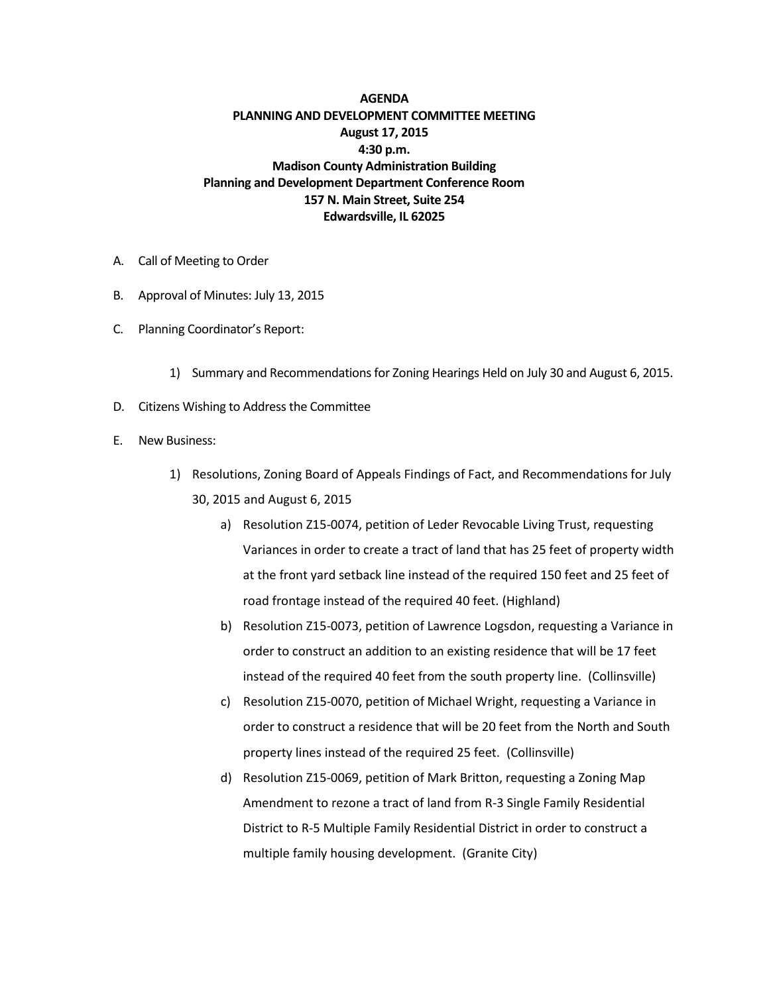## **AGENDA PLANNING AND DEVELOPMENT COMMITTEE MEETING August 17, 2015 4:30 p.m. Madison County Administration Building Planning and Development Department Conference Room 157 N. Main Street, Suite 254 Edwardsville, IL 62025**

- A. Call of Meeting to Order
- B. Approval of Minutes: July 13, 2015
- C. Planning Coordinator's Report:
	- 1) Summary and Recommendations for Zoning Hearings Held on July 30 and August 6, 2015.
- D. Citizens Wishing to Address the Committee
- E. New Business:
	- 1) Resolutions, Zoning Board of Appeals Findings of Fact, and Recommendations for July 30, 2015 and August 6, 2015
		- a) Resolution Z15-0074, petition of Leder Revocable Living Trust, requesting Variances in order to create a tract of land that has 25 feet of property width at the front yard setback line instead of the required 150 feet and 25 feet of road frontage instead of the required 40 feet. (Highland)
		- b) Resolution Z15-0073, petition of Lawrence Logsdon, requesting a Variance in order to construct an addition to an existing residence that will be 17 feet instead of the required 40 feet from the south property line. (Collinsville)
		- c) Resolution Z15-0070, petition of Michael Wright, requesting a Variance in order to construct a residence that will be 20 feet from the North and South property lines instead of the required 25 feet. (Collinsville)
		- d) Resolution Z15-0069, petition of Mark Britton, requesting a Zoning Map Amendment to rezone a tract of land from R-3 Single Family Residential District to R-5 Multiple Family Residential District in order to construct a multiple family housing development. (Granite City)